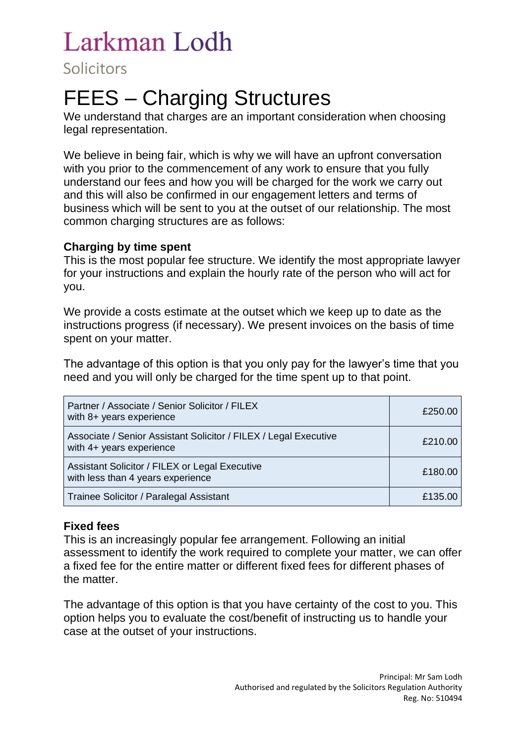Solicitors

# FEES – Charging Structures

We understand that charges are an important consideration when choosing legal representation.

We believe in being fair, which is why we will have an upfront conversation with you prior to the commencement of any work to ensure that you fully understand our fees and how you will be charged for the work we carry out and this will also be confirmed in our engagement letters and terms of business which will be sent to you at the outset of our relationship. The most common charging structures are as follows:

#### **Charging by time spent**

This is the most popular fee structure. We identify the most appropriate lawyer for your instructions and explain the hourly rate of the person who will act for you.

We provide a costs estimate at the outset which we keep up to date as the instructions progress (if necessary). We present invoices on the basis of time spent on your matter.

The advantage of this option is that you only pay for the lawyer's time that you need and you will only be charged for the time spent up to that point.

| Partner / Associate / Senior Solicitor / FILEX<br>with 8+ years experience                   | £250.00 |
|----------------------------------------------------------------------------------------------|---------|
| Associate / Senior Assistant Solicitor / FILEX / Legal Executive<br>with 4+ years experience | £210.00 |
| Assistant Solicitor / FILEX or Legal Executive<br>with less than 4 years experience          | £180.00 |
| Trainee Solicitor / Paralegal Assistant                                                      | £135.00 |

#### **Fixed fees**

This is an increasingly popular fee arrangement. Following an initial assessment to identify the work required to complete your matter, we can offer a fixed fee for the entire matter or different fixed fees for different phases of the matter.

The advantage of this option is that you have certainty of the cost to you. This option helps you to evaluate the cost/benefit of instructing us to handle your case at the outset of your instructions.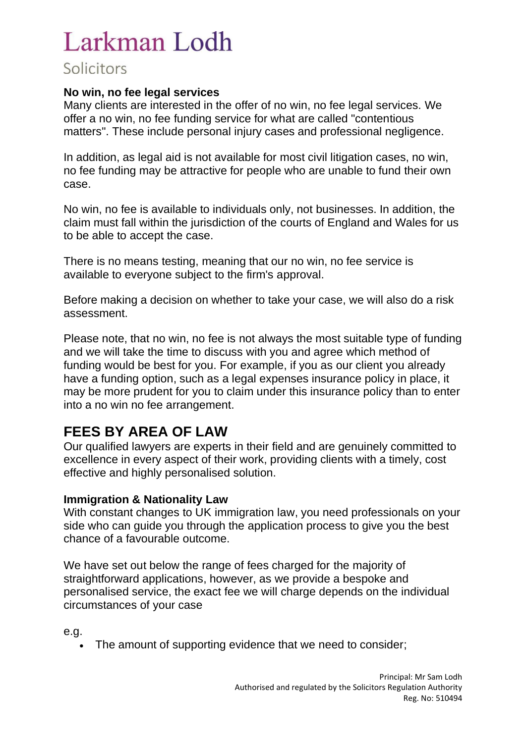#### **No win, no fee legal services**

Many clients are interested in the offer of no win, no fee legal services. We offer a no win, no fee funding service for what are called "contentious matters". These include personal injury cases and professional negligence.

In addition, as legal aid is not available for most civil litigation cases, no win, no fee funding may be attractive for people who are unable to fund their own case.

No win, no fee is available to individuals only, not businesses. In addition, the claim must fall within the jurisdiction of the courts of England and Wales for us to be able to accept the case.

There is no means testing, meaning that our no win, no fee service is available to everyone subject to the firm's approval.

Before making a decision on whether to take your case, we will also do a risk assessment.

Please note, that no win, no fee is not always the most suitable type of funding and we will take the time to discuss with you and agree which method of funding would be best for you. For example, if you as our client you already have a funding option, such as a legal expenses insurance policy in place, it may be more prudent for you to claim under this insurance policy than to enter into a no win no fee arrangement.

### **FEES BY AREA OF LAW**

Our qualified lawyers are experts in their field and are genuinely committed to excellence in every aspect of their work, providing clients with a timely, cost effective and highly personalised solution.

#### **Immigration & Nationality Law**

With constant changes to UK immigration law, you need professionals on your side who can guide you through the application process to give you the best chance of a favourable outcome.

We have set out below the range of fees charged for the majority of straightforward applications, however, as we provide a bespoke and personalised service, the exact fee we will charge depends on the individual circumstances of your case

e.g.

• The amount of supporting evidence that we need to consider;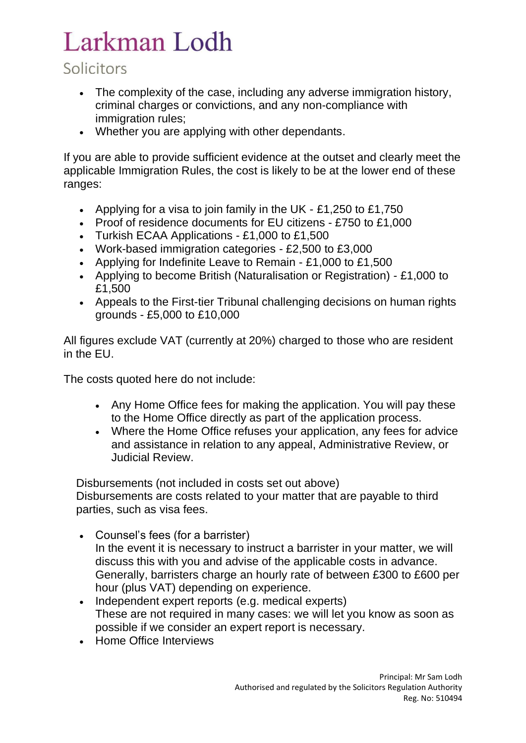## Solicitors

- The complexity of the case, including any adverse immigration history, criminal charges or convictions, and any non-compliance with immigration rules:
- Whether you are applying with other dependants.

If you are able to provide sufficient evidence at the outset and clearly meet the applicable Immigration Rules, the cost is likely to be at the lower end of these ranges:

- Applying for a visa to join family in the UK £1,250 to £1,750
- Proof of residence documents for EU citizens £750 to £1,000
- Turkish ECAA Applications £1,000 to £1,500
- Work-based immigration categories £2,500 to £3,000
- Applying for Indefinite Leave to Remain £1,000 to £1,500
- Applying to become British (Naturalisation or Registration) £1,000 to £1,500
- Appeals to the First-tier Tribunal challenging decisions on human rights grounds - £5,000 to £10,000

All figures exclude VAT (currently at 20%) charged to those who are resident in the EU.

The costs quoted here do not include:

- Any Home Office fees for making the application. You will pay these to the Home Office directly as part of the application process.
- Where the Home Office refuses your application, any fees for advice and assistance in relation to any appeal, Administrative Review, or Judicial Review.

Disbursements (not included in costs set out above) Disbursements are costs related to your matter that are payable to third parties, such as visa fees.

- Counsel's fees (for a barrister) In the event it is necessary to instruct a barrister in your matter, we will discuss this with you and advise of the applicable costs in advance. Generally, barristers charge an hourly rate of between £300 to £600 per hour (plus VAT) depending on experience.
- Independent expert reports (e.g. medical experts) These are not required in many cases: we will let you know as soon as possible if we consider an expert report is necessary.
- Home Office Interviews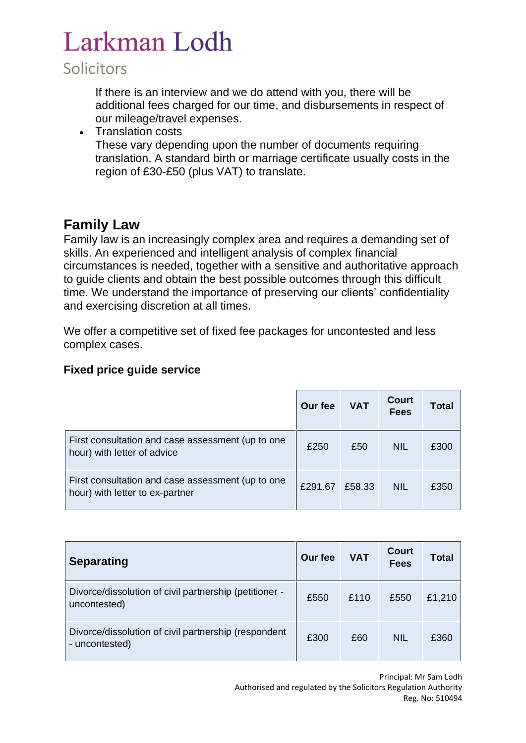### Solicitors

If there is an interview and we do attend with you, there will be additional fees charged for our time, and disbursements in respect of our mileage/travel expenses.

• Translation costs These vary depending upon the number of documents requiring translation. A standard birth or marriage certificate usually costs in the region of £30-£50 (plus VAT) to translate.

### **Family Law**

Family law is an increasingly complex area and requires a demanding set of skills. An experienced and intelligent analysis of complex financial circumstances is needed, together with a sensitive and authoritative approach to guide clients and obtain the best possible outcomes through this difficult time. We understand the importance of preserving our clients' confidentiality and exercising discretion at all times.

We offer a competitive set of fixed fee packages for uncontested and less complex cases.

#### **Fixed price guide service**

|                                                                                      | Our fee | <b>VAT</b> | <b>Court</b><br><b>Fees</b> | Total |
|--------------------------------------------------------------------------------------|---------|------------|-----------------------------|-------|
| First consultation and case assessment (up to one<br>hour) with letter of advice     | £250    | £50        | <b>NIL</b>                  | £300  |
| First consultation and case assessment (up to one<br>hour) with letter to ex-partner | £291.67 | £58.33     | <b>NIL</b>                  | £350  |

| <b>Separating</b>                                                      | Our fee | <b>VAT</b> | <b>Court</b><br><b>Fees</b> | Total  |
|------------------------------------------------------------------------|---------|------------|-----------------------------|--------|
| Divorce/dissolution of civil partnership (petitioner -<br>uncontested) | £550    | £110       | £550                        | £1,210 |
| Divorce/dissolution of civil partnership (respondent<br>- uncontested) | £300    | £60        | <b>NIL</b>                  | £360   |

Principal: Mr Sam Lodh Authorised and regulated by the Solicitors Regulation Authority Reg. No: 510494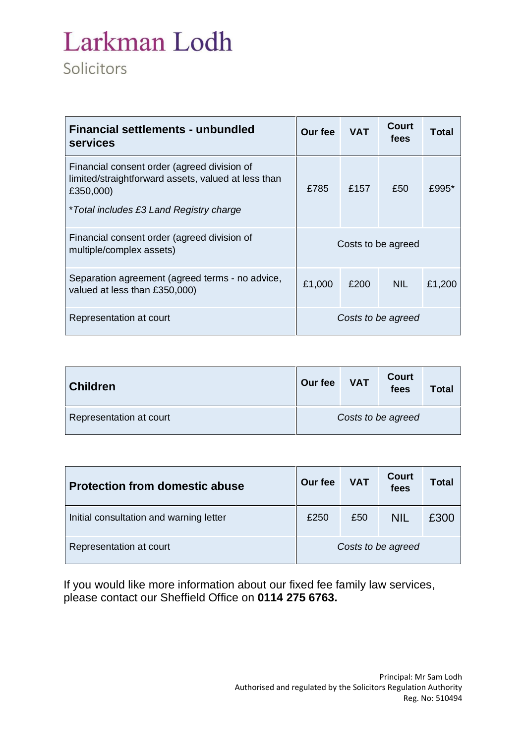| <b>Financial settlements - unbundled</b><br>services                                                                                                       | Our fee            | <b>VAT</b> | Court<br>fees | Total  |
|------------------------------------------------------------------------------------------------------------------------------------------------------------|--------------------|------------|---------------|--------|
| Financial consent order (agreed division of<br>limited/straightforward assets, valued at less than<br>£350,000)<br>*Total includes £3 Land Registry charge | £785               | £157       | £50           | £995*  |
| Financial consent order (agreed division of<br>multiple/complex assets)                                                                                    | Costs to be agreed |            |               |        |
| Separation agreement (agreed terms - no advice,<br>valued at less than £350,000)                                                                           | £1,000             | £200       | NIL.          | £1,200 |
| Representation at court                                                                                                                                    | Costs to be agreed |            |               |        |

| <b>Children</b>         | Our fee            | <b>VAT</b> | <b>Court</b><br>fees | Total |
|-------------------------|--------------------|------------|----------------------|-------|
| Representation at court | Costs to be agreed |            |                      |       |

| <b>Protection from domestic abuse</b>   | Our fee            | <b>VAT</b> | Court<br>fees | Total |
|-----------------------------------------|--------------------|------------|---------------|-------|
| Initial consultation and warning letter | £250               | £50        | <b>NIL</b>    | £300  |
| Representation at court                 | Costs to be agreed |            |               |       |

If you would like more information about our fixed fee family law services, please contact our Sheffield Office on **0114 275 6763.**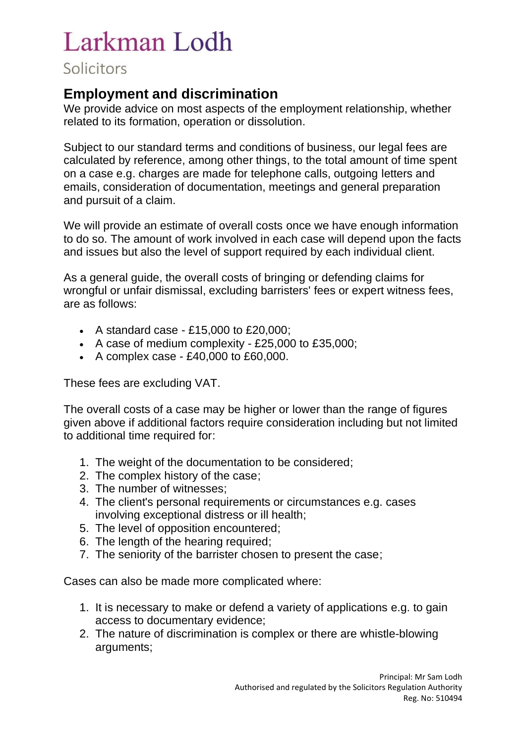### **Employment and discrimination**

We provide advice on most aspects of the employment relationship, whether related to its formation, operation or dissolution.

Subject to our standard terms and conditions of business, our legal fees are calculated by reference, among other things, to the total amount of time spent on a case e.g. charges are made for telephone calls, outgoing letters and emails, consideration of documentation, meetings and general preparation and pursuit of a claim.

We will provide an estimate of overall costs once we have enough information to do so. The amount of work involved in each case will depend upon the facts and issues but also the level of support required by each individual client.

As a general guide, the overall costs of bringing or defending claims for wrongful or unfair dismissal, excluding barristers' fees or expert witness fees, are as follows:

- A standard case £15,000 to £20,000;
- A case of medium complexity £25,000 to £35,000;
- A complex case £40,000 to £60,000.

These fees are excluding VAT.

The overall costs of a case may be higher or lower than the range of figures given above if additional factors require consideration including but not limited to additional time required for:

- 1. The weight of the documentation to be considered;
- 2. The complex history of the case;
- 3. The number of witnesses;
- 4. The client's personal requirements or circumstances e.g. cases involving exceptional distress or ill health;
- 5. The level of opposition encountered;
- 6. The length of the hearing required;
- 7. The seniority of the barrister chosen to present the case;

Cases can also be made more complicated where:

- 1. It is necessary to make or defend a variety of applications e.g. to gain access to documentary evidence;
- 2. The nature of discrimination is complex or there are whistle-blowing arguments;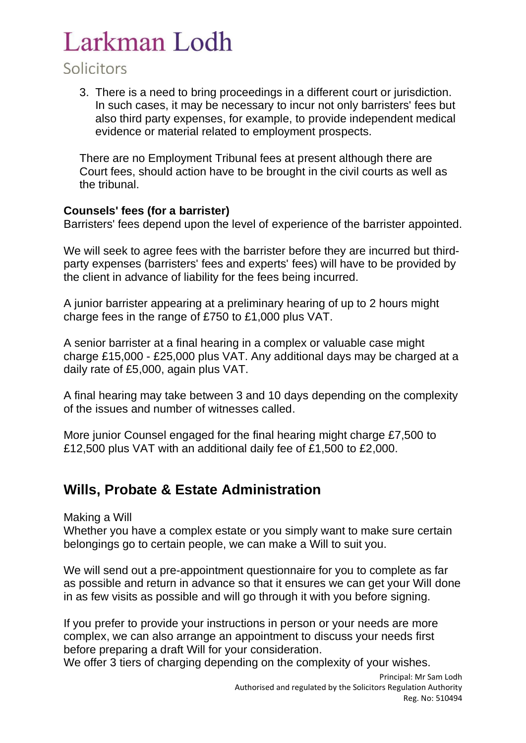### Solicitors

3. There is a need to bring proceedings in a different court or jurisdiction. In such cases, it may be necessary to incur not only barristers' fees but also third party expenses, for example, to provide independent medical evidence or material related to employment prospects.

There are no Employment Tribunal fees at present although there are Court fees, should action have to be brought in the civil courts as well as the tribunal.

#### **Counsels' fees (for a barrister)**

Barristers' fees depend upon the level of experience of the barrister appointed.

We will seek to agree fees with the barrister before they are incurred but thirdparty expenses (barristers' fees and experts' fees) will have to be provided by the client in advance of liability for the fees being incurred.

A junior barrister appearing at a preliminary hearing of up to 2 hours might charge fees in the range of £750 to £1,000 plus VAT.

A senior barrister at a final hearing in a complex or valuable case might charge £15,000 - £25,000 plus VAT. Any additional days may be charged at a daily rate of £5,000, again plus VAT.

A final hearing may take between 3 and 10 days depending on the complexity of the issues and number of witnesses called.

More junior Counsel engaged for the final hearing might charge £7,500 to £12,500 plus VAT with an additional daily fee of £1,500 to £2,000.

### **Wills, Probate & Estate Administration**

Making a Will

Whether you have a complex estate or you simply want to make sure certain belongings go to certain people, we can make a Will to suit you.

We will send out a pre-appointment questionnaire for you to complete as far as possible and return in advance so that it ensures we can get your Will done in as few visits as possible and will go through it with you before signing.

If you prefer to provide your instructions in person or your needs are more complex, we can also arrange an appointment to discuss your needs first before preparing a draft Will for your consideration.

We offer 3 tiers of charging depending on the complexity of your wishes.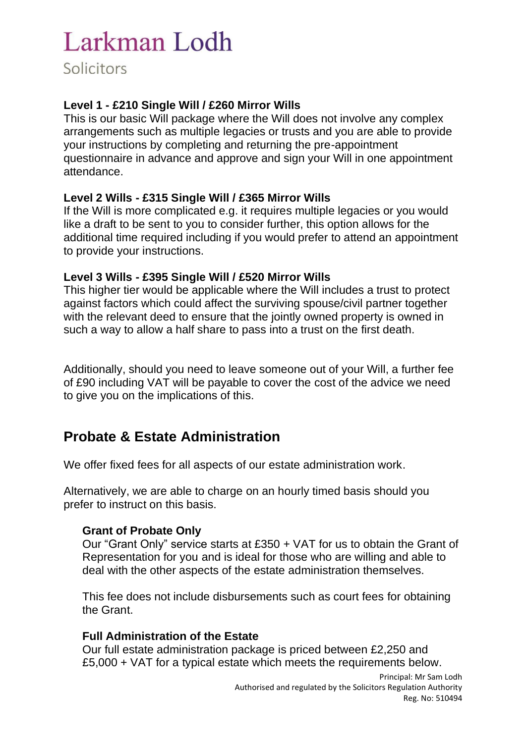#### **Level 1 - £210 Single Will / £260 Mirror Wills**

This is our basic Will package where the Will does not involve any complex arrangements such as multiple legacies or trusts and you are able to provide your instructions by completing and returning the pre-appointment questionnaire in advance and approve and sign your Will in one appointment attendance.

#### **Level 2 Wills - £315 Single Will / £365 Mirror Wills**

If the Will is more complicated e.g. it requires multiple legacies or you would like a draft to be sent to you to consider further, this option allows for the additional time required including if you would prefer to attend an appointment to provide your instructions.

#### **Level 3 Wills - £395 Single Will / £520 Mirror Wills**

This higher tier would be applicable where the Will includes a trust to protect against factors which could affect the surviving spouse/civil partner together with the relevant deed to ensure that the jointly owned property is owned in such a way to allow a half share to pass into a trust on the first death.

Additionally, should you need to leave someone out of your Will, a further fee of £90 including VAT will be payable to cover the cost of the advice we need to give you on the implications of this.

## **Probate & Estate Administration**

We offer fixed fees for all aspects of our estate administration work.

Alternatively, we are able to charge on an hourly timed basis should you prefer to instruct on this basis.

#### **Grant of Probate Only**

Our "Grant Only" service starts at £350 + VAT for us to obtain the Grant of Representation for you and is ideal for those who are willing and able to deal with the other aspects of the estate administration themselves.

This fee does not include disbursements such as court fees for obtaining the Grant.

#### **Full Administration of the Estate**

Our full estate administration package is priced between £2,250 and £5,000 + VAT for a typical estate which meets the requirements below.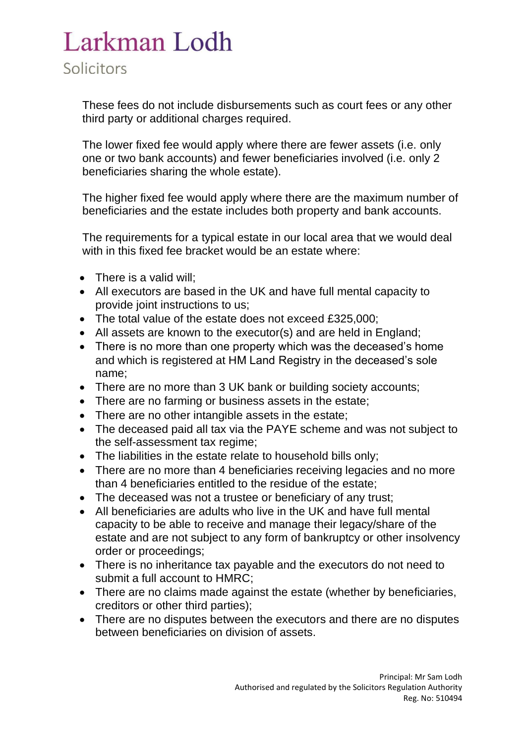These fees do not include disbursements such as court fees or any other third party or additional charges required.

The lower fixed fee would apply where there are fewer assets (i.e. only one or two bank accounts) and fewer beneficiaries involved (i.e. only 2 beneficiaries sharing the whole estate).

The higher fixed fee would apply where there are the maximum number of beneficiaries and the estate includes both property and bank accounts.

The requirements for a typical estate in our local area that we would deal with in this fixed fee bracket would be an estate where:

- There is a valid will;
- All executors are based in the UK and have full mental capacity to provide joint instructions to us;
- The total value of the estate does not exceed £325,000;
- All assets are known to the executor(s) and are held in England;
- There is no more than one property which was the deceased's home and which is registered at HM Land Registry in the deceased's sole name;
- There are no more than 3 UK bank or building society accounts;
- There are no farming or business assets in the estate;
- There are no other intangible assets in the estate;
- The deceased paid all tax via the PAYE scheme and was not subject to the self-assessment tax regime;
- The liabilities in the estate relate to household bills only;
- There are no more than 4 beneficiaries receiving legacies and no more than 4 beneficiaries entitled to the residue of the estate;
- The deceased was not a trustee or beneficiary of any trust;
- All beneficiaries are adults who live in the UK and have full mental capacity to be able to receive and manage their legacy/share of the estate and are not subject to any form of bankruptcy or other insolvency order or proceedings;
- There is no inheritance tax payable and the executors do not need to submit a full account to HMRC;
- There are no claims made against the estate (whether by beneficiaries, creditors or other third parties);
- There are no disputes between the executors and there are no disputes between beneficiaries on division of assets.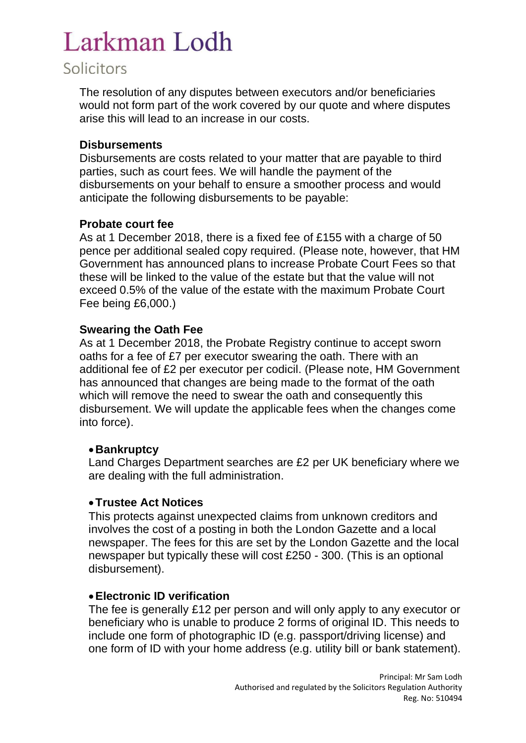### Solicitors

The resolution of any disputes between executors and/or beneficiaries would not form part of the work covered by our quote and where disputes arise this will lead to an increase in our costs.

#### **Disbursements**

Disbursements are costs related to your matter that are payable to third parties, such as court fees. We will handle the payment of the disbursements on your behalf to ensure a smoother process and would anticipate the following disbursements to be payable:

#### **Probate court fee**

As at 1 December 2018, there is a fixed fee of £155 with a charge of 50 pence per additional sealed copy required. (Please note, however, that HM Government has announced plans to increase Probate Court Fees so that these will be linked to the value of the estate but that the value will not exceed 0.5% of the value of the estate with the maximum Probate Court Fee being £6,000.)

#### **Swearing the Oath Fee**

As at 1 December 2018, the Probate Registry continue to accept sworn oaths for a fee of £7 per executor swearing the oath. There with an additional fee of £2 per executor per codicil. (Please note, HM Government has announced that changes are being made to the format of the oath which will remove the need to swear the oath and consequently this disbursement. We will update the applicable fees when the changes come into force).

#### •**Bankruptcy**

Land Charges Department searches are £2 per UK beneficiary where we are dealing with the full administration.

#### •**Trustee Act Notices**

This protects against unexpected claims from unknown creditors and involves the cost of a posting in both the London Gazette and a local newspaper. The fees for this are set by the London Gazette and the local newspaper but typically these will cost £250 - 300. (This is an optional disbursement).

#### •**Electronic ID verification**

The fee is generally £12 per person and will only apply to any executor or beneficiary who is unable to produce 2 forms of original ID. This needs to include one form of photographic ID (e.g. passport/driving license) and one form of ID with your home address (e.g. utility bill or bank statement).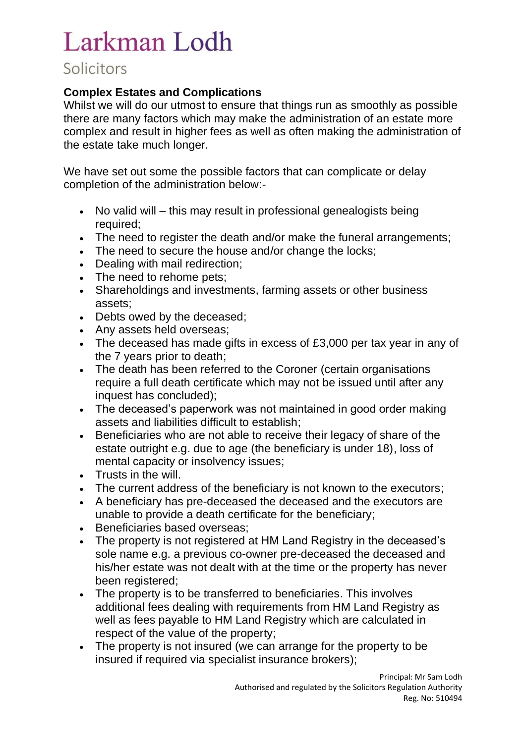## Solicitors

#### **Complex Estates and Complications**

Whilst we will do our utmost to ensure that things run as smoothly as possible there are many factors which may make the administration of an estate more complex and result in higher fees as well as often making the administration of the estate take much longer.

We have set out some the possible factors that can complicate or delay completion of the administration below:-

- No valid will this may result in professional genealogists being required;
- The need to register the death and/or make the funeral arrangements;
- The need to secure the house and/or change the locks;
- Dealing with mail redirection;
- The need to rehome pets;
- Shareholdings and investments, farming assets or other business assets;
- Debts owed by the deceased;
- Any assets held overseas;
- The deceased has made gifts in excess of £3,000 per tax year in any of the 7 years prior to death;
- The death has been referred to the Coroner (certain organisations require a full death certificate which may not be issued until after any inquest has concluded);
- The deceased's paperwork was not maintained in good order making assets and liabilities difficult to establish;
- Beneficiaries who are not able to receive their legacy of share of the estate outright e.g. due to age (the beneficiary is under 18), loss of mental capacity or insolvency issues;
- Trusts in the will.
- The current address of the beneficiary is not known to the executors;
- A beneficiary has pre-deceased the deceased and the executors are unable to provide a death certificate for the beneficiary;
- Beneficiaries based overseas:
- The property is not registered at HM Land Registry in the deceased's sole name e.g. a previous co-owner pre-deceased the deceased and his/her estate was not dealt with at the time or the property has never been registered;
- The property is to be transferred to beneficiaries. This involves additional fees dealing with requirements from HM Land Registry as well as fees payable to HM Land Registry which are calculated in respect of the value of the property;
- The property is not insured (we can arrange for the property to be insured if required via specialist insurance brokers);